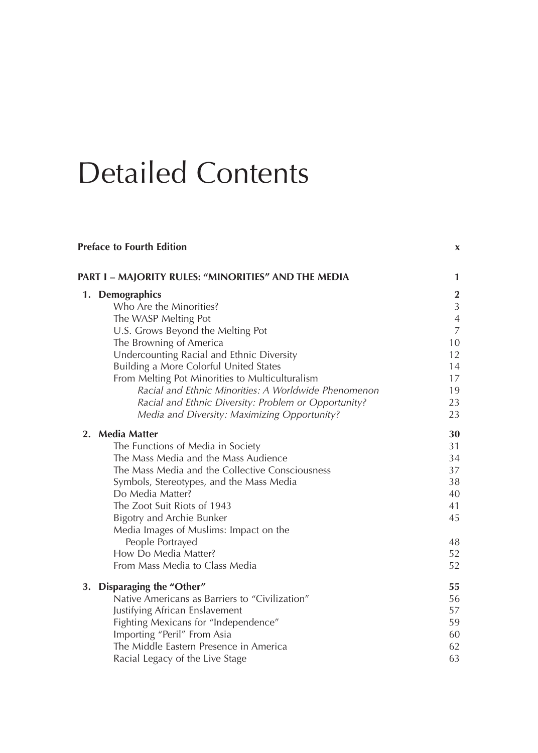## Detailed Contents

| <b>Preface to Fourth Edition</b>                     | X              |
|------------------------------------------------------|----------------|
| PART I - MAJORITY RULES: "MINORITIES" AND THE MEDIA  | $\mathbf{1}$   |
| 1. Demographics                                      | $\mathbf{2}$   |
| Who Are the Minorities?                              | $\mathfrak{Z}$ |
| The WASP Melting Pot                                 | $\sqrt{4}$     |
| U.S. Grows Beyond the Melting Pot                    | $\overline{7}$ |
| The Browning of America                              | 10             |
| Undercounting Racial and Ethnic Diversity            | 12             |
| Building a More Colorful United States               | 14             |
| From Melting Pot Minorities to Multiculturalism      | 17             |
| Racial and Ethnic Minorities: A Worldwide Phenomenon | 19             |
| Racial and Ethnic Diversity: Problem or Opportunity? | 23             |
| Media and Diversity: Maximizing Opportunity?         | 23             |
| 2. Media Matter                                      | 30             |
| The Functions of Media in Society                    | 31             |
| The Mass Media and the Mass Audience                 | 34             |
| The Mass Media and the Collective Consciousness      | 37             |
| Symbols, Stereotypes, and the Mass Media             | 38             |
| Do Media Matter?                                     | 40             |
| The Zoot Suit Riots of 1943                          | 41             |
| Bigotry and Archie Bunker                            | 45             |
| Media Images of Muslims: Impact on the               |                |
| People Portrayed                                     | 48             |
| How Do Media Matter?                                 | 52             |
| From Mass Media to Class Media                       | 52             |
| Disparaging the "Other"<br>3.                        | 55             |
| Native Americans as Barriers to "Civilization"       | 56             |
| Justifying African Enslavement                       | 57             |
| Fighting Mexicans for "Independence"                 | 59             |
| Importing "Peril" From Asia                          | 60             |
| The Middle Eastern Presence in America               | 62             |
| Racial Legacy of the Live Stage                      | 63             |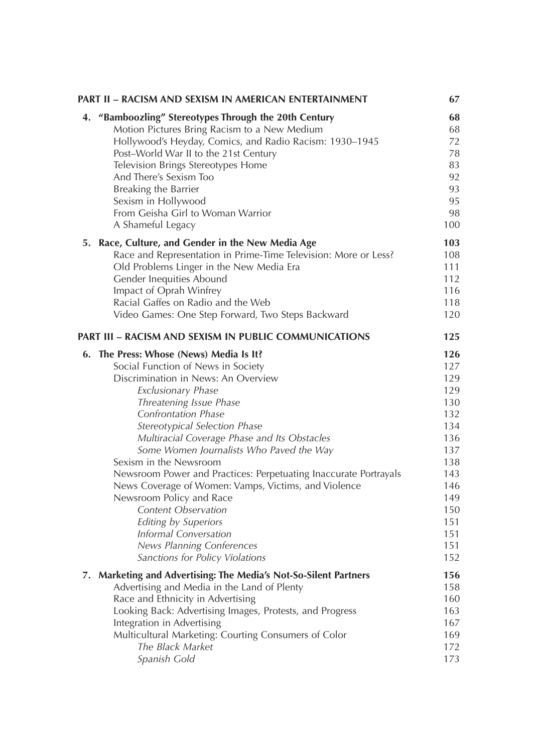|    | PART II – RACISM AND SEXISM IN AMERICAN ENTERTAINMENT            | 67  |
|----|------------------------------------------------------------------|-----|
| 4. | "Bamboozling" Stereotypes Through the 20th Century               | 68  |
|    | Motion Pictures Bring Racism to a New Medium                     | 68  |
|    | Hollywood's Heyday, Comics, and Radio Racism: 1930-1945          | 72  |
|    | Post-World War II to the 21st Century                            | 78  |
|    | Television Brings Stereotypes Home                               | 83  |
|    | And There's Sexism Too                                           | 92  |
|    | Breaking the Barrier                                             | 93  |
|    | Sexism in Hollywood                                              | 95  |
|    | From Geisha Girl to Woman Warrior                                | 98  |
|    | A Shameful Legacy                                                | 100 |
|    | 5. Race, Culture, and Gender in the New Media Age                | 103 |
|    | Race and Representation in Prime-Time Television: More or Less?  | 108 |
|    | Old Problems Linger in the New Media Era                         | 111 |
|    | Gender Inequities Abound                                         | 112 |
|    | Impact of Oprah Winfrey                                          | 116 |
|    | Racial Gaffes on Radio and the Web                               | 118 |
|    | Video Games: One Step Forward, Two Steps Backward                | 120 |
|    | <b>PART III - RACISM AND SEXISM IN PUBLIC COMMUNICATIONS</b>     | 125 |
|    | 6. The Press: Whose (News) Media Is It?                          | 126 |
|    | Social Function of News in Society                               | 127 |
|    | Discrimination in News: An Overview                              | 129 |
|    | <b>Exclusionary Phase</b>                                        | 129 |
|    | Threatening Issue Phase                                          | 130 |
|    | <b>Confrontation Phase</b>                                       | 132 |
|    | Stereotypical Selection Phase                                    | 134 |
|    | Multiracial Coverage Phase and Its Obstacles                     | 136 |
|    | Some Women Journalists Who Paved the Way                         | 137 |
|    | Sexism in the Newsroom                                           | 138 |
|    | Newsroom Power and Practices: Perpetuating Inaccurate Portrayals | 143 |
|    | News Coverage of Women: Vamps, Victims, and Violence             | 146 |
|    | Newsroom Policy and Race                                         | 149 |
|    | Content Observation                                              | 150 |
|    | <b>Editing by Superiors</b>                                      | 151 |
|    | <b>Informal Conversation</b>                                     | 151 |
|    | News Planning Conferences                                        | 151 |
|    | Sanctions for Policy Violations                                  | 152 |
|    | 7. Marketing and Advertising: The Media's Not-So-Silent Partners | 156 |
|    | Advertising and Media in the Land of Plenty                      | 158 |
|    | Race and Ethnicity in Advertising                                | 160 |
|    | Looking Back: Advertising Images, Protests, and Progress         | 163 |
|    | Integration in Advertising                                       | 167 |
|    | Multicultural Marketing: Courting Consumers of Color             | 169 |
|    | The Black Market                                                 | 172 |
|    | Spanish Gold                                                     | 173 |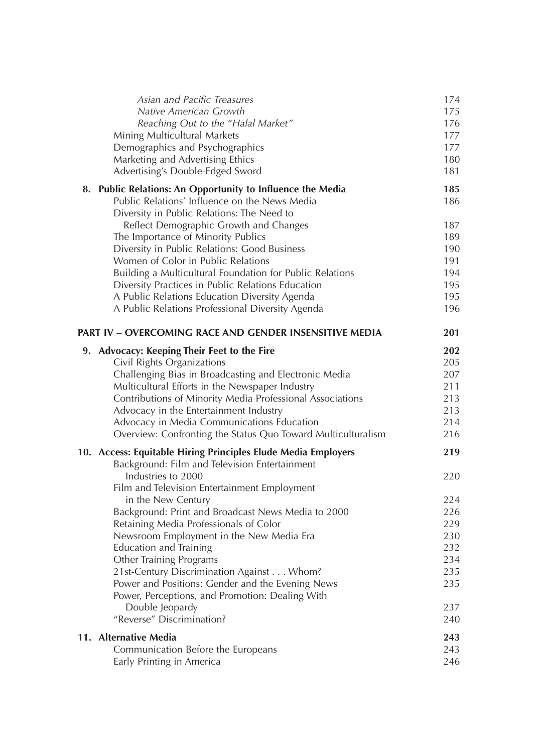| Asian and Pacific Treasures                                                                  | 174        |
|----------------------------------------------------------------------------------------------|------------|
| Native American Growth                                                                       | 175        |
| Reaching Out to the "Halal Market"                                                           | 176        |
| Mining Multicultural Markets                                                                 | 177        |
| Demographics and Psychographics                                                              | 177        |
| Marketing and Advertising Ethics                                                             | 180        |
| Advertising's Double-Edged Sword                                                             | 181        |
| 8. Public Relations: An Opportunity to Influence the Media                                   | 185        |
| Public Relations' Influence on the News Media                                                | 186        |
| Diversity in Public Relations: The Need to                                                   |            |
| Reflect Demographic Growth and Changes                                                       | 187        |
| The Importance of Minority Publics                                                           | 189        |
| Diversity in Public Relations: Good Business                                                 | 190        |
| Women of Color in Public Relations                                                           | 191        |
| Building a Multicultural Foundation for Public Relations                                     | 194        |
| Diversity Practices in Public Relations Education                                            | 195        |
| A Public Relations Education Diversity Agenda                                                | 195        |
| A Public Relations Professional Diversity Agenda                                             | 196        |
| PART IV - OVERCOMING RACE AND GENDER INSENSITIVE MEDIA                                       | 201        |
| 9. Advocacy: Keeping Their Feet to the Fire                                                  | 202        |
| Civil Rights Organizations                                                                   | 205        |
| Challenging Bias in Broadcasting and Electronic Media                                        | 207        |
| Multicultural Efforts in the Newspaper Industry                                              | 211        |
| Contributions of Minority Media Professional Associations                                    | 213        |
| Advocacy in the Entertainment Industry                                                       | 213        |
| Advocacy in Media Communications Education                                                   | 214        |
| Overview: Confronting the Status Quo Toward Multiculturalism                                 | 216        |
| 10. Access: Equitable Hiring Principles Elude Media Employers                                | 219        |
| Background: Film and Television Entertainment                                                |            |
| Industries to 2000                                                                           | 220        |
| Film and Television Entertainment Employment                                                 |            |
| in the New Century                                                                           | 224        |
| Background: Print and Broadcast News Media to 2000<br>Retaining Media Professionals of Color | 226<br>229 |
| Newsroom Employment in the New Media Era                                                     | 230        |
| <b>Education and Training</b>                                                                | 232        |
| <b>Other Training Programs</b>                                                               | 234        |
| 21st-Century Discrimination Against Whom?                                                    | 235        |
| Power and Positions: Gender and the Evening News                                             | 235        |
| Power, Perceptions, and Promotion: Dealing With                                              |            |
| Double Jeopardy                                                                              | 237        |
| "Reverse" Discrimination?                                                                    | 240        |
| 11. Alternative Media                                                                        | 243        |
| Communication Before the Europeans                                                           | 243        |
| Early Printing in America                                                                    | 246        |
|                                                                                              |            |